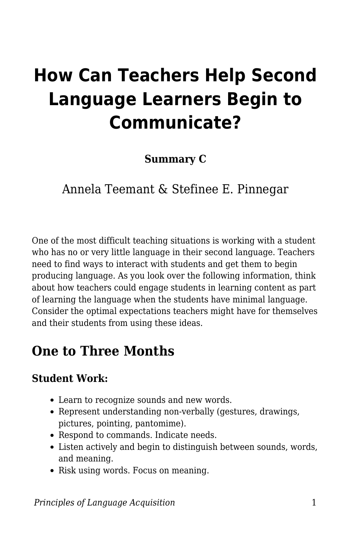# **How Can Teachers Help Second Language Learners Begin to Communicate?**

**Summary C**

Annela Teemant & Stefinee E. Pinnegar

One of the most difficult teaching situations is working with a student who has no or very little language in their second language. Teachers need to find ways to interact with students and get them to begin producing language. As you look over the following information, think about how teachers could engage students in learning content as part of learning the language when the students have minimal language. Consider the optimal expectations teachers might have for themselves and their students from using these ideas.

### **One to Three Months**

### **Student Work:**

- Learn to recognize sounds and new words.
- Represent understanding non-verbally (gestures, drawings, pictures, pointing, pantomime).
- Respond to commands. Indicate needs.
- Listen actively and begin to distinguish between sounds, words, and meaning.
- Risk using words. Focus on meaning.

*Principles of Language Acquisition* 1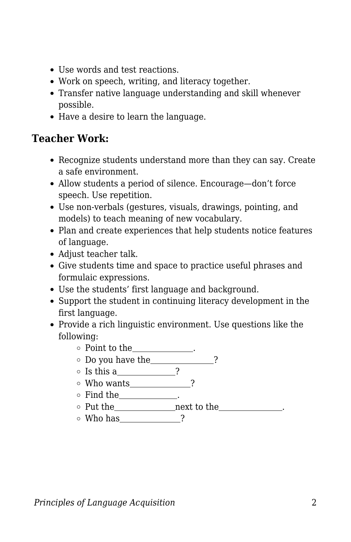- Use words and test reactions.
- Work on speech, writing, and literacy together.
- Transfer native language understanding and skill whenever possible.
- Have a desire to learn the language.

### **Teacher Work:**

- Recognize students understand more than they can say. Create a safe environment.
- Allow students a period of silence. Encourage—don't force speech. Use repetition.
- Use non-verbals (gestures, visuals, drawings, pointing, and models) to teach meaning of new vocabulary.
- Plan and create experiences that help students notice features of language.
- Adjust teacher talk.
- Give students time and space to practice useful phrases and formulaic expressions.
- Use the students' first language and background.
- Support the student in continuing literacy development in the first language.
- Provide a rich linguistic environment. Use questions like the following:
	- $\circ\,$  Point to the<br>\_\_\_\_\_\_\_\_\_\_\_\_.
	- Do you have the ?
	- Is this a ?
	- $\circ$  Who wants  $\qquad \qquad$  ?
	- $\circ$  Find the  $\_\_\_\_\_\_\_\_\_\$
	- Put the next to the .
	- $\circ$  Who has  $\_$  ?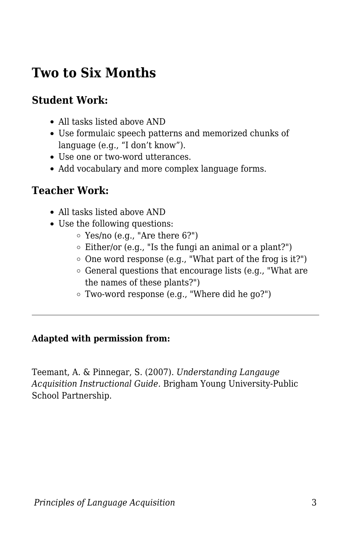## **Two to Six Months**

### **Student Work:**

- All tasks listed above AND
- Use formulaic speech patterns and memorized chunks of language (e.g., "I don't know").
- Use one or two-word utterances.
- Add vocabulary and more complex language forms.

#### **Teacher Work:**

- All tasks listed above AND
- Use the following questions:
	- $\circ$  Yes/no (e.g., "Are there 6?")
	- $\circ$  Either/or (e.g., "Is the fungi an animal or a plant?")
	- $\circ$  One word response (e.g., "What part of the frog is it?")
	- $\circ$  General questions that encourage lists (e.g., "What are the names of these plants?")
	- Two-word response (e.g., "Where did he go?")

#### **Adapted with permission from:**

Teemant, A. & Pinnegar, S. (2007). *Understanding Langauge Acquisition Instructional Guide.* Brigham Young University-Public School Partnership.